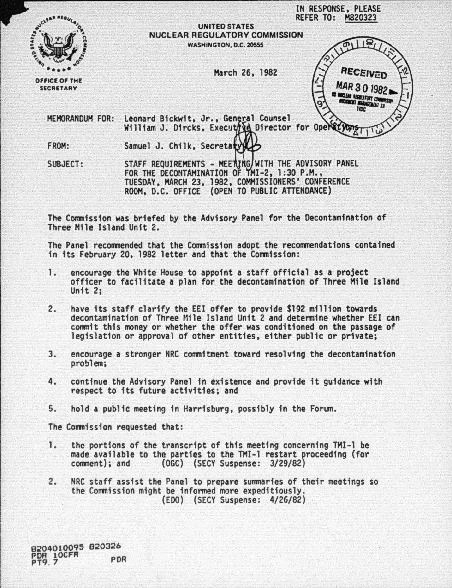|                                   | IN RESPONSE, PLEASE<br><b>REFER TO:</b><br>M820323                                      |
|-----------------------------------|-----------------------------------------------------------------------------------------|
|                                   | <b>UNITED STATES</b>                                                                    |
|                                   | <b>NUCLEAR REGULATORY COMMISSION</b>                                                    |
|                                   | WASHINGTON, D.C. 20555                                                                  |
|                                   | RECEIVED<br>March 26, 1982                                                              |
| OFFICE OF THE<br><b>SECRETARY</b> | MAR 30 198                                                                              |
|                                   |                                                                                         |
| <b>MEMORANDUM FOR:</b>            | Leonard Bickwit, Jr., General Counsel<br>William J. Dircks, Executive Director for Oper |
|                                   |                                                                                         |
| FROM:                             | Samuel J. Chilk, Secreta                                                                |

SUBJECT: STAFF REQUIREMENTS - MEETING/WITH THE ADVISORY PANEL<br>FOR THE DECONTAMINATION OF TMI-2, 1:30 P.M., TUESDAY, MARCH 23, 1982, COMMISSIONERS' CONFERENCE ROOH, D.C. OFFICE (OPEN TO PUBLIC ATTENDANCE)

The Commission was briefed by the Advisory Panel for the Decontamination of Three Mile Island Unit 2.

The Panel recommended that the Commission adopt the recommendations contained in its February 20, 1982 letter and that the Commission:

- 1. encourage the White House to appoint a staff official as a project<br>officer to facilitate a plan for the decontamination of Three Mile Island Unit 2;
- 2. have 1ts staff clarify the EEl offer to provide \$192 million towards decontamination of Three Mile Island Unit 2 and determine whether EEl can commit this money or whether the offer was conditioned on the passage of legislation or approval of other entities, either public or private;
- 3. encourage a stronger NRC commitment toward resolving the decontamination problem;
- 4. continue the Advisory Panel in existence and provide it guidance with respect to its future activities; and
- 5. hold a public meeting in Harrisburg, possibly in the Forum.

The Commission requested that:

- 1. the portions of the transcript of thfs meeting concerning TMI-1 be made available to the parties to the TMI-1 restart proceeding (for comment); and (OGC) (SECY Suspense: 3/29/82)
- 2. NRC staff assist the Panel to prepare summaries of their meetings so the Commission might be informed more expeditiously. (EDO) (SECY Suspense: 4/26/82)

9204010095 82032b PDR LOCFR PDR